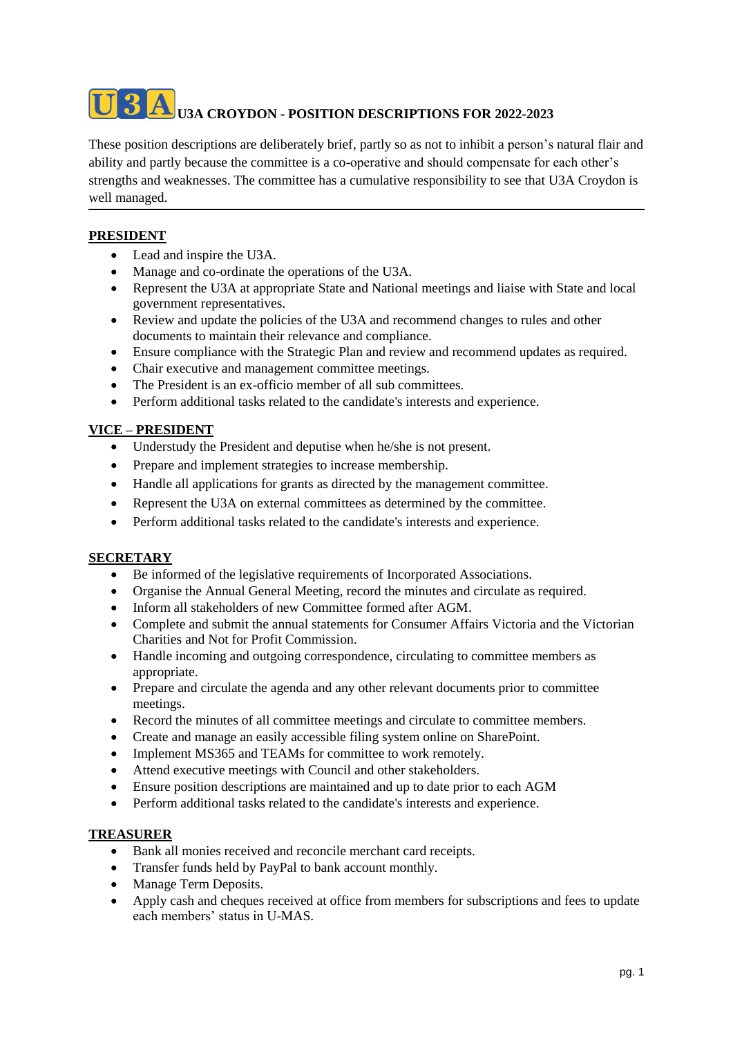# **U3A CROYDON - POSITION DESCRIPTIONS FOR 2022-2023**

These position descriptions are deliberately brief, partly so as not to inhibit a person's natural flair and ability and partly because the committee is a co-operative and should compensate for each other's strengths and weaknesses. The committee has a cumulative responsibility to see that U3A Croydon is well managed.

## **PRESIDENT**

- Lead and inspire the U3A.
- Manage and co-ordinate the operations of the U3A.
- Represent the U3A at appropriate State and National meetings and liaise with State and local government representatives.
- Review and update the policies of the U3A and recommend changes to rules and other documents to maintain their relevance and compliance.
- Ensure compliance with the Strategic Plan and review and recommend updates as required.
- Chair executive and management committee meetings.
- The President is an ex-officio member of all sub committees.
- Perform additional tasks related to the candidate's interests and experience.

### **VICE – PRESIDENT**

- Understudy the President and deputise when he/she is not present.
- Prepare and implement strategies to increase membership.
- Handle all applications for grants as directed by the management committee.
- Represent the U3A on external committees as determined by the committee.
- Perform additional tasks related to the candidate's interests and experience.

#### **SECRETARY**

- Be informed of the legislative requirements of Incorporated Associations.
- Organise the Annual General Meeting, record the minutes and circulate as required.
- Inform all stakeholders of new Committee formed after AGM.
- Complete and submit the annual statements for Consumer Affairs Victoria and the Victorian Charities and Not for Profit Commission.
- Handle incoming and outgoing correspondence, circulating to committee members as appropriate.
- Prepare and circulate the agenda and any other relevant documents prior to committee meetings.
- Record the minutes of all committee meetings and circulate to committee members.
- Create and manage an easily accessible filing system online on SharePoint.
- Implement MS365 and TEAMs for committee to work remotely.
- Attend executive meetings with Council and other stakeholders.
- Ensure position descriptions are maintained and up to date prior to each AGM
- Perform additional tasks related to the candidate's interests and experience.

#### **TREASURER**

- Bank all monies received and reconcile merchant card receipts.
- Transfer funds held by PayPal to bank account monthly.
- Manage Term Deposits.
- Apply cash and cheques received at office from members for subscriptions and fees to update each members' status in U-MAS.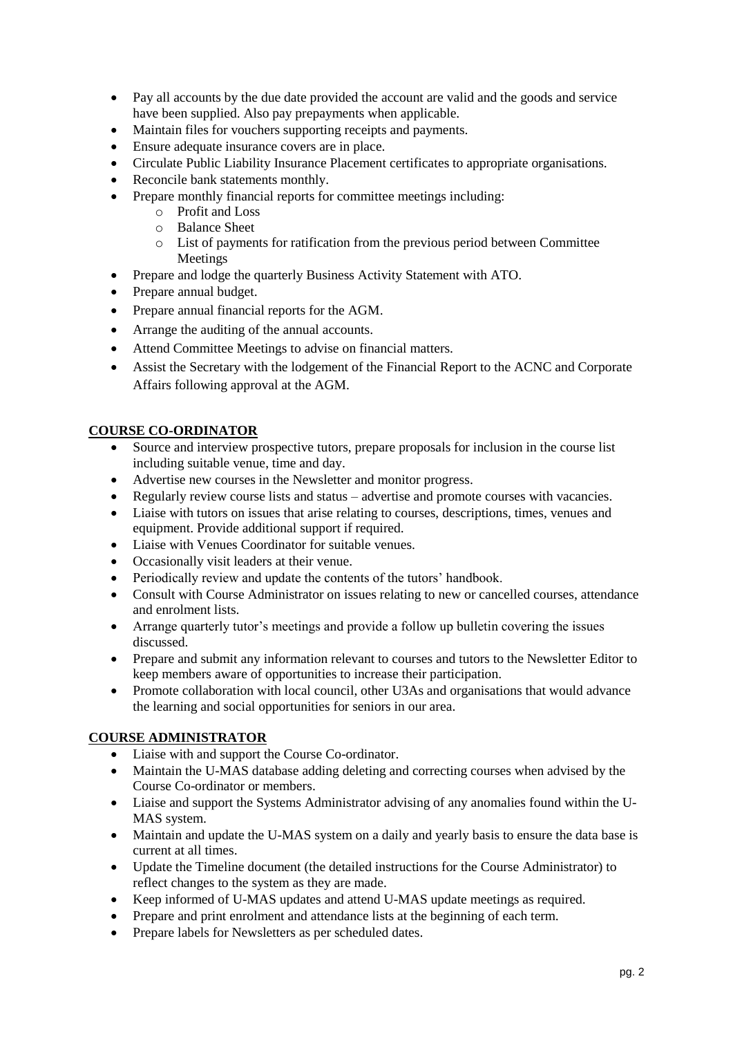- Pay all accounts by the due date provided the account are valid and the goods and service have been supplied. Also pay prepayments when applicable.
- Maintain files for vouchers supporting receipts and payments.
- Ensure adequate insurance covers are in place.
- Circulate Public Liability Insurance Placement certificates to appropriate organisations.
- Reconcile bank statements monthly.
- Prepare monthly financial reports for committee meetings including:
	- o Profit and Loss
	- o Balance Sheet
	- o List of payments for ratification from the previous period between Committee Meetings
- Prepare and lodge the quarterly Business Activity Statement with ATO.
- Prepare annual budget.
- Prepare annual financial reports for the AGM.
- Arrange the auditing of the annual accounts.
- Attend Committee Meetings to advise on financial matters.
- Assist the Secretary with the lodgement of the Financial Report to the ACNC and Corporate Affairs following approval at the AGM.

#### **COURSE CO-ORDINATOR**

- Source and interview prospective tutors, prepare proposals for inclusion in the course list including suitable venue, time and day.
- Advertise new courses in the Newsletter and monitor progress.
- Regularly review course lists and status advertise and promote courses with vacancies.
- Liaise with tutors on issues that arise relating to courses, descriptions, times, venues and equipment. Provide additional support if required.
- Liaise with Venues Coordinator for suitable venues.
- Occasionally visit leaders at their venue.
- Periodically review and update the contents of the tutors' handbook.
- Consult with Course Administrator on issues relating to new or cancelled courses, attendance and enrolment lists.
- Arrange quarterly tutor's meetings and provide a follow up bulletin covering the issues discussed.
- Prepare and submit any information relevant to courses and tutors to the Newsletter Editor to keep members aware of opportunities to increase their participation.
- Promote collaboration with local council, other U3As and organisations that would advance the learning and social opportunities for seniors in our area.

#### **COURSE ADMINISTRATOR**

- Liaise with and support the Course Co-ordinator.
- Maintain the U-MAS database adding deleting and correcting courses when advised by the Course Co-ordinator or members.
- Liaise and support the Systems Administrator advising of any anomalies found within the U-MAS system.
- Maintain and update the U-MAS system on a daily and yearly basis to ensure the data base is current at all times.
- Update the Timeline document (the detailed instructions for the Course Administrator) to reflect changes to the system as they are made.
- Keep informed of U-MAS updates and attend U-MAS update meetings as required.
- Prepare and print enrolment and attendance lists at the beginning of each term.
- Prepare labels for Newsletters as per scheduled dates.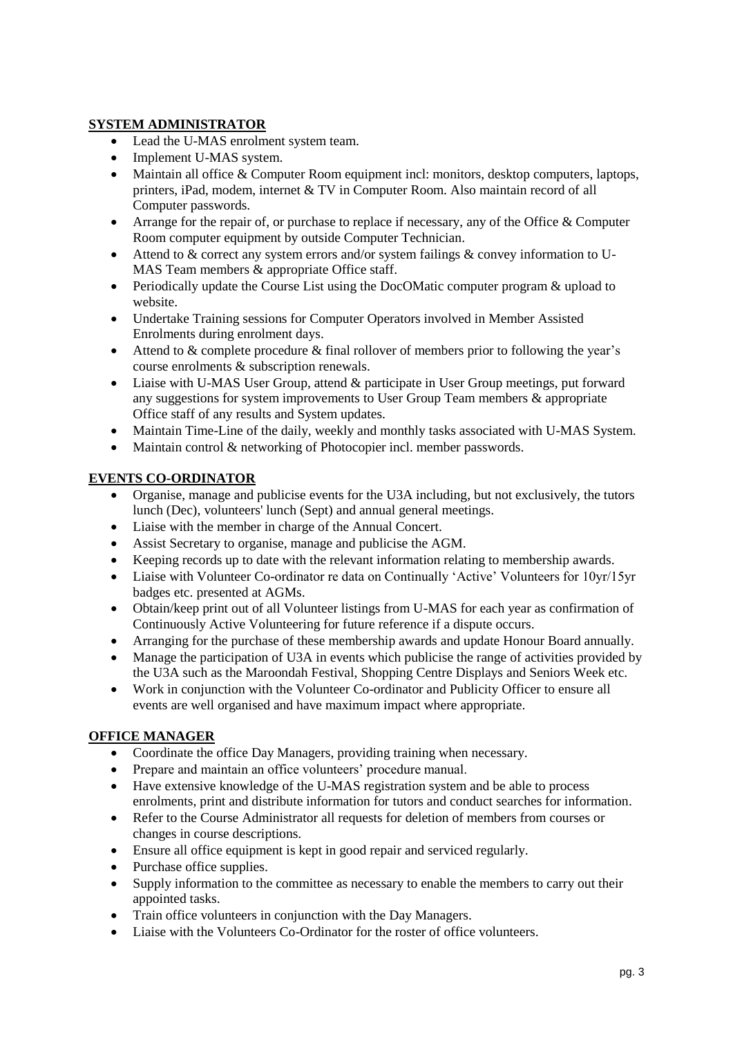## **SYSTEM ADMINISTRATOR**

- Lead the U-MAS enrolment system team.
- Implement U-MAS system.
- Maintain all office & Computer Room equipment incl: monitors, desktop computers, laptops, printers, iPad, modem, internet & TV in Computer Room. Also maintain record of all Computer passwords.
- Arrange for the repair of, or purchase to replace if necessary, any of the Office  $&$  Computer Room computer equipment by outside Computer Technician.
- Attend to & correct any system errors and/or system failings & convey information to U-MAS Team members & appropriate Office staff.
- Periodically update the Course List using the DocOMatic computer program & upload to website.
- Undertake Training sessions for Computer Operators involved in Member Assisted Enrolments during enrolment days.
- Attend to & complete procedure & final rollover of members prior to following the year's course enrolments & subscription renewals.
- Liaise with U-MAS User Group, attend & participate in User Group meetings, put forward any suggestions for system improvements to User Group Team members & appropriate Office staff of any results and System updates.
- Maintain Time-Line of the daily, weekly and monthly tasks associated with U-MAS System.
- Maintain control & networking of Photocopier incl. member passwords.

## **EVENTS CO-ORDINATOR**

- Organise, manage and publicise events for the U3A including, but not exclusively, the tutors lunch (Dec), volunteers' lunch (Sept) and annual general meetings.
- Liaise with the member in charge of the Annual Concert.
- Assist Secretary to organise, manage and publicise the AGM.
- Keeping records up to date with the relevant information relating to membership awards.
- Liaise with Volunteer Co-ordinator re data on Continually 'Active' Volunteers for 10yr/15yr badges etc. presented at AGMs.
- Obtain/keep print out of all Volunteer listings from U-MAS for each year as confirmation of Continuously Active Volunteering for future reference if a dispute occurs.
- Arranging for the purchase of these membership awards and update Honour Board annually.
- Manage the participation of U3A in events which publicise the range of activities provided by the U3A such as the Maroondah Festival, Shopping Centre Displays and Seniors Week etc.
- Work in conjunction with the Volunteer Co-ordinator and Publicity Officer to ensure all events are well organised and have maximum impact where appropriate.

#### **OFFICE MANAGER**

- Coordinate the office Day Managers, providing training when necessary.
- Prepare and maintain an office volunteers' procedure manual.
- Have extensive knowledge of the U-MAS registration system and be able to process enrolments, print and distribute information for tutors and conduct searches for information.
- Refer to the Course Administrator all requests for deletion of members from courses or changes in course descriptions.
- Ensure all office equipment is kept in good repair and serviced regularly.
- Purchase office supplies.
- Supply information to the committee as necessary to enable the members to carry out their appointed tasks.
- Train office volunteers in conjunction with the Day Managers.
- Liaise with the Volunteers Co-Ordinator for the roster of office volunteers.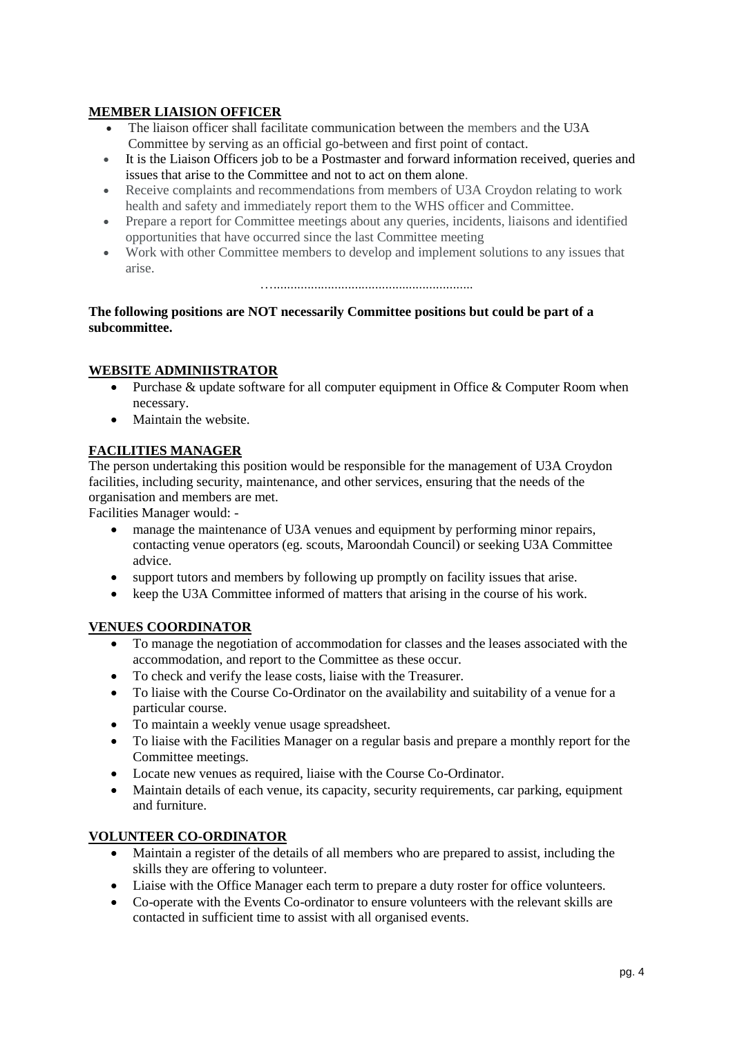## **MEMBER LIAISION OFFICER**

- The liaison officer shall facilitate communication between the members and the U3A Committee by serving as an official go-between and first point of contact.
- It is the Liaison Officers job to be a Postmaster and forward information received, queries and issues that arise to the Committee and not to act on them alone.
- Receive complaints and recommendations from members of U3A Croydon relating to work health and safety and immediately report them to the WHS officer and Committee.
- Prepare a report for Committee meetings about any queries, incidents, liaisons and identified opportunities that have occurred since the last Committee meeting
- Work with other Committee members to develop and implement solutions to any issues that arise.

…...........................................................

**The following positions are NOT necessarily Committee positions but could be part of a subcommittee.**

#### **WEBSITE ADMINIISTRATOR**

- Purchase & update software for all computer equipment in Office & Computer Room when necessary.
- Maintain the website.

## **FACILITIES MANAGER**

The person undertaking this position would be responsible for the management of U3A Croydon facilities, including security, maintenance, and other services, ensuring that the needs of the organisation and members are met.

Facilities Manager would: -

- manage the maintenance of U3A venues and equipment by performing minor repairs, contacting venue operators (eg. scouts, Maroondah Council) or seeking U3A Committee advice.
- support tutors and members by following up promptly on facility issues that arise.
- keep the U3A Committee informed of matters that arising in the course of his work.

#### **VENUES COORDINATOR**

- To manage the negotiation of accommodation for classes and the leases associated with the accommodation, and report to the Committee as these occur.
- To check and verify the lease costs, liaise with the Treasurer.
- To liaise with the Course Co-Ordinator on the availability and suitability of a venue for a particular course.
- To maintain a weekly venue usage spreadsheet.
- To liaise with the Facilities Manager on a regular basis and prepare a monthly report for the Committee meetings.
- Locate new venues as required, liaise with the Course Co-Ordinator.
- Maintain details of each venue, its capacity, security requirements, car parking, equipment and furniture.

#### **VOLUNTEER CO-ORDINATOR**

- Maintain a register of the details of all members who are prepared to assist, including the skills they are offering to volunteer.
- Liaise with the Office Manager each term to prepare a duty roster for office volunteers.
- Co-operate with the Events Co-ordinator to ensure volunteers with the relevant skills are contacted in sufficient time to assist with all organised events.